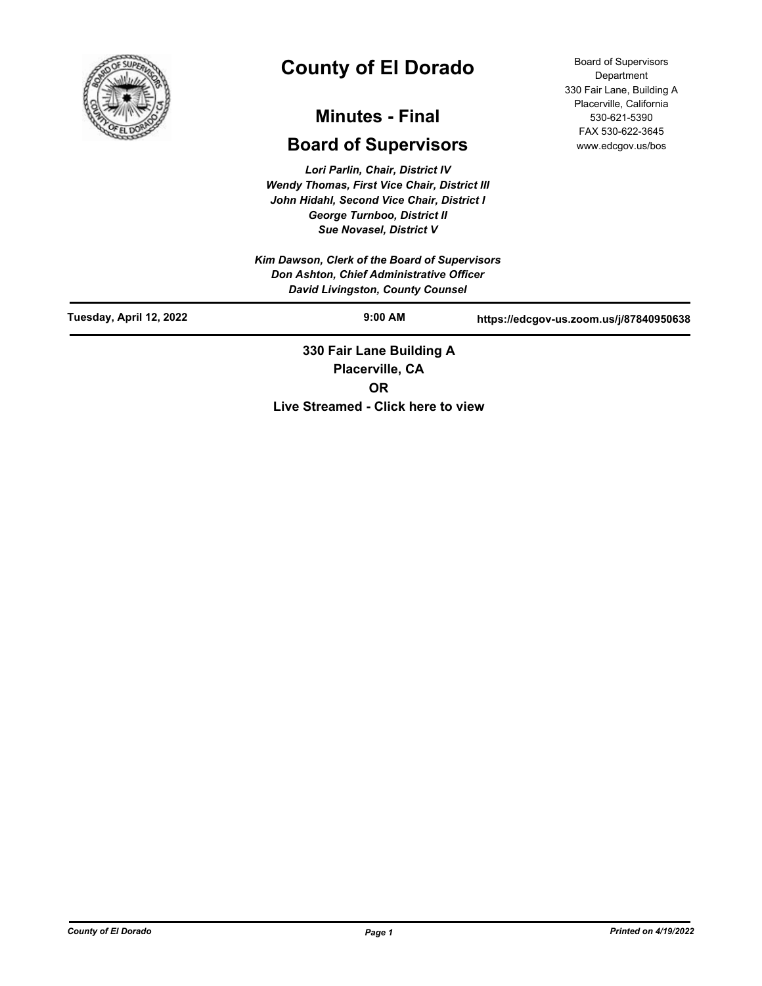

# **County of El Dorado**

## **Minutes - Final**

## **Board of Supervisors**

*Lori Parlin, Chair, District IV Wendy Thomas, First Vice Chair, District III John Hidahl, Second Vice Chair, District I George Turnboo, District II Sue Novasel, District V*

*Kim Dawson, Clerk of the Board of Supervisors Don Ashton, Chief Administrative Officer David Livingston, County Counsel*

Board of Supervisors Department 330 Fair Lane, Building A Placerville, California 530-621-5390 FAX 530-622-3645 www.edcgov.us/bos

| <u>baria Eiringoton, obanty obanocr</u> |                                             |                                         |
|-----------------------------------------|---------------------------------------------|-----------------------------------------|
| Tuesday, April 12, 2022                 | $9:00$ AM                                   | https://edcgov-us.zoom.us/j/87840950638 |
|                                         | 330 Fair Lane Building A<br>Placerville, CA |                                         |

**OR**

**Live Streamed - Click here to view**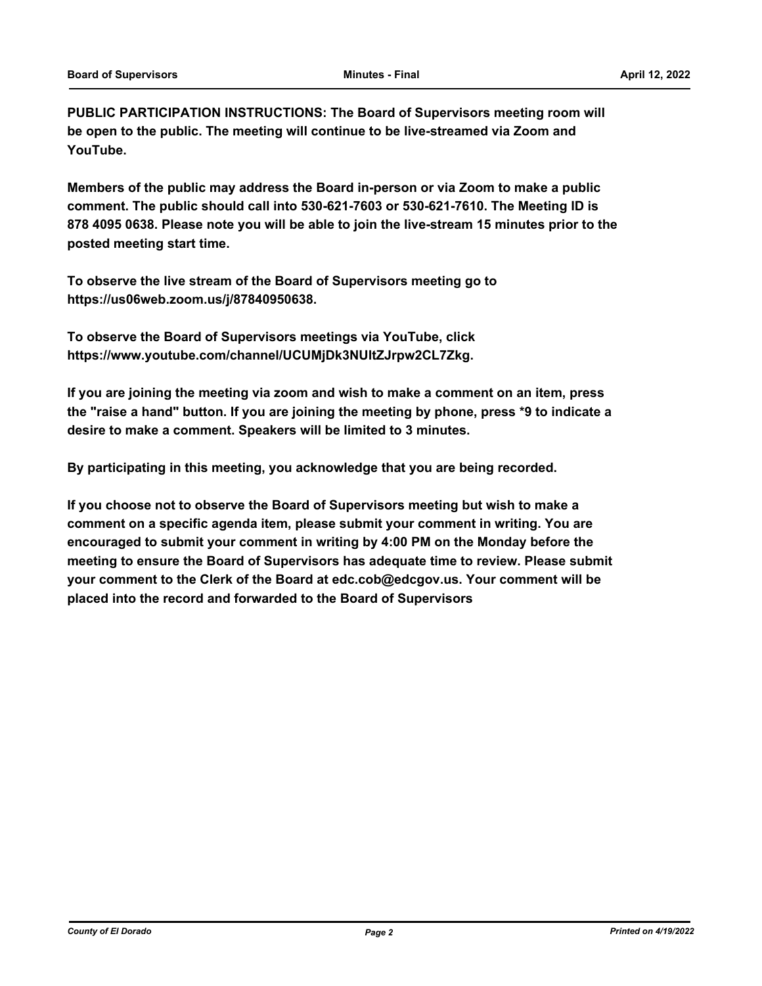**PUBLIC PARTICIPATION INSTRUCTIONS: The Board of Supervisors meeting room will be open to the public. The meeting will continue to be live-streamed via Zoom and YouTube.**

**Members of the public may address the Board in-person or via Zoom to make a public comment. The public should call into 530-621-7603 or 530-621-7610. The Meeting ID is 878 4095 0638. Please note you will be able to join the live-stream 15 minutes prior to the posted meeting start time.**

**To observe the live stream of the Board of Supervisors meeting go to https://us06web.zoom.us/j/87840950638.**

**To observe the Board of Supervisors meetings via YouTube, click https://www.youtube.com/channel/UCUMjDk3NUltZJrpw2CL7Zkg.**

**If you are joining the meeting via zoom and wish to make a comment on an item, press the "raise a hand" button. If you are joining the meeting by phone, press \*9 to indicate a desire to make a comment. Speakers will be limited to 3 minutes.**

**By participating in this meeting, you acknowledge that you are being recorded.**

**If you choose not to observe the Board of Supervisors meeting but wish to make a comment on a specific agenda item, please submit your comment in writing. You are encouraged to submit your comment in writing by 4:00 PM on the Monday before the meeting to ensure the Board of Supervisors has adequate time to review. Please submit your comment to the Clerk of the Board at edc.cob@edcgov.us. Your comment will be placed into the record and forwarded to the Board of Supervisors**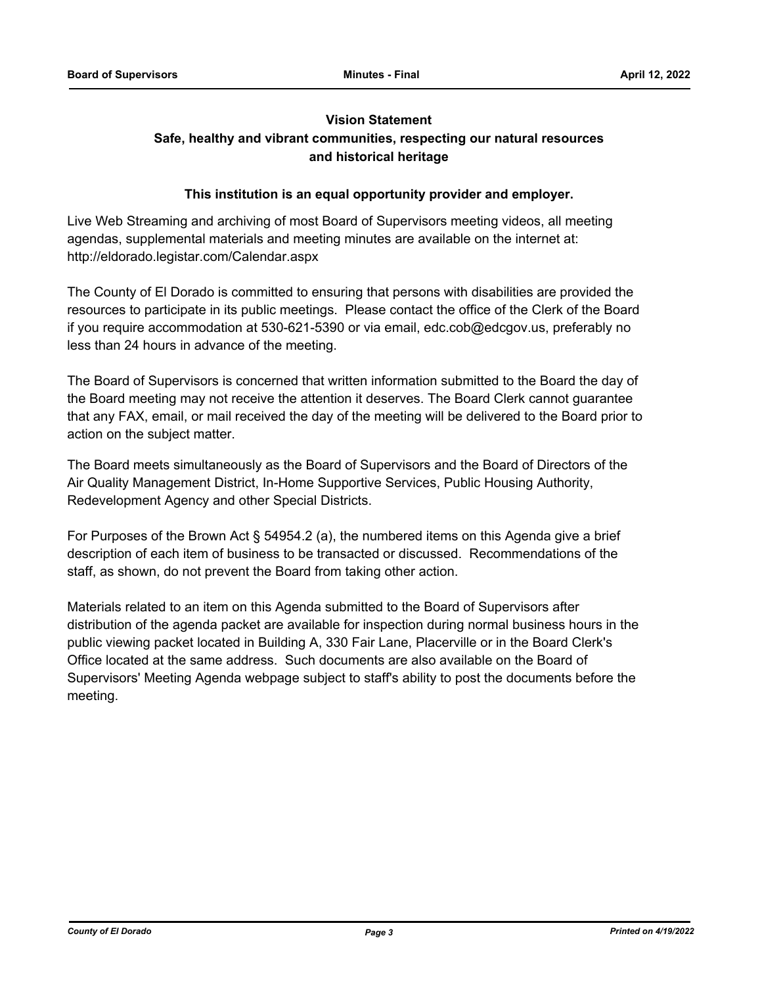## **Vision Statement**

## **Safe, healthy and vibrant communities, respecting our natural resources and historical heritage**

## **This institution is an equal opportunity provider and employer.**

Live Web Streaming and archiving of most Board of Supervisors meeting videos, all meeting agendas, supplemental materials and meeting minutes are available on the internet at: http://eldorado.legistar.com/Calendar.aspx

The County of El Dorado is committed to ensuring that persons with disabilities are provided the resources to participate in its public meetings. Please contact the office of the Clerk of the Board if you require accommodation at 530-621-5390 or via email, edc.cob@edcgov.us, preferably no less than 24 hours in advance of the meeting.

The Board of Supervisors is concerned that written information submitted to the Board the day of the Board meeting may not receive the attention it deserves. The Board Clerk cannot guarantee that any FAX, email, or mail received the day of the meeting will be delivered to the Board prior to action on the subject matter.

The Board meets simultaneously as the Board of Supervisors and the Board of Directors of the Air Quality Management District, In-Home Supportive Services, Public Housing Authority, Redevelopment Agency and other Special Districts.

For Purposes of the Brown Act § 54954.2 (a), the numbered items on this Agenda give a brief description of each item of business to be transacted or discussed. Recommendations of the staff, as shown, do not prevent the Board from taking other action.

Materials related to an item on this Agenda submitted to the Board of Supervisors after distribution of the agenda packet are available for inspection during normal business hours in the public viewing packet located in Building A, 330 Fair Lane, Placerville or in the Board Clerk's Office located at the same address. Such documents are also available on the Board of Supervisors' Meeting Agenda webpage subject to staff's ability to post the documents before the meeting.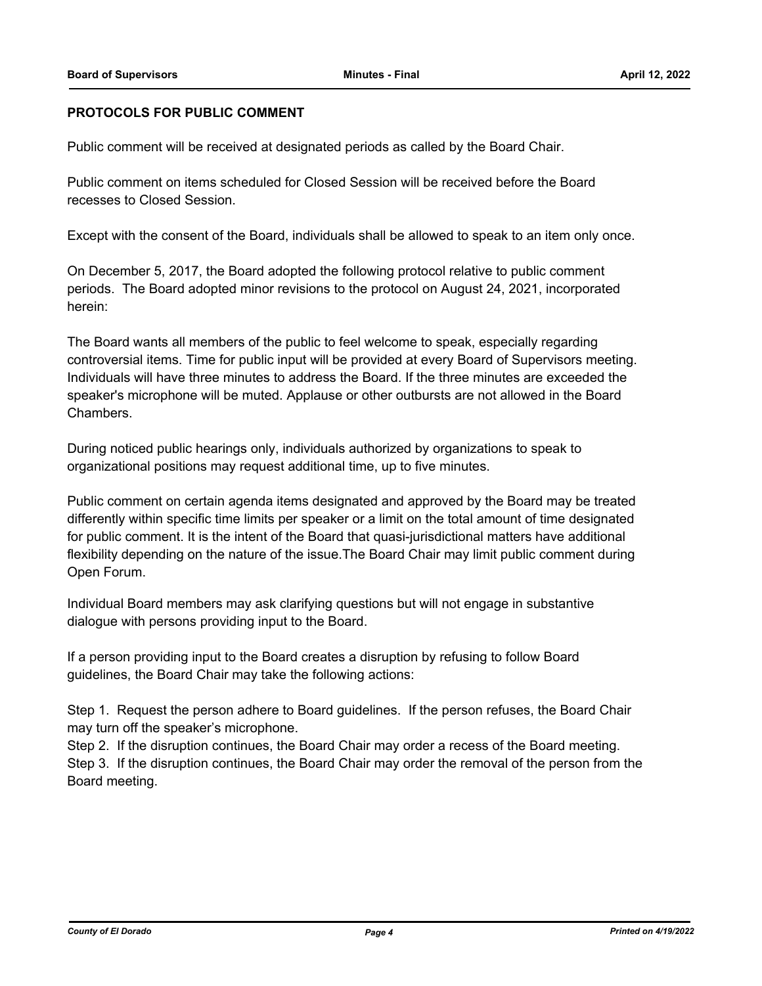## **PROTOCOLS FOR PUBLIC COMMENT**

Public comment will be received at designated periods as called by the Board Chair.

Public comment on items scheduled for Closed Session will be received before the Board recesses to Closed Session.

Except with the consent of the Board, individuals shall be allowed to speak to an item only once.

On December 5, 2017, the Board adopted the following protocol relative to public comment periods. The Board adopted minor revisions to the protocol on August 24, 2021, incorporated herein:

The Board wants all members of the public to feel welcome to speak, especially regarding controversial items. Time for public input will be provided at every Board of Supervisors meeting. Individuals will have three minutes to address the Board. If the three minutes are exceeded the speaker's microphone will be muted. Applause or other outbursts are not allowed in the Board Chambers.

During noticed public hearings only, individuals authorized by organizations to speak to organizational positions may request additional time, up to five minutes.

Public comment on certain agenda items designated and approved by the Board may be treated differently within specific time limits per speaker or a limit on the total amount of time designated for public comment. It is the intent of the Board that quasi-jurisdictional matters have additional flexibility depending on the nature of the issue.The Board Chair may limit public comment during Open Forum.

Individual Board members may ask clarifying questions but will not engage in substantive dialogue with persons providing input to the Board.

If a person providing input to the Board creates a disruption by refusing to follow Board guidelines, the Board Chair may take the following actions:

Step 1. Request the person adhere to Board guidelines. If the person refuses, the Board Chair may turn off the speaker's microphone.

Step 2. If the disruption continues, the Board Chair may order a recess of the Board meeting. Step 3. If the disruption continues, the Board Chair may order the removal of the person from the Board meeting.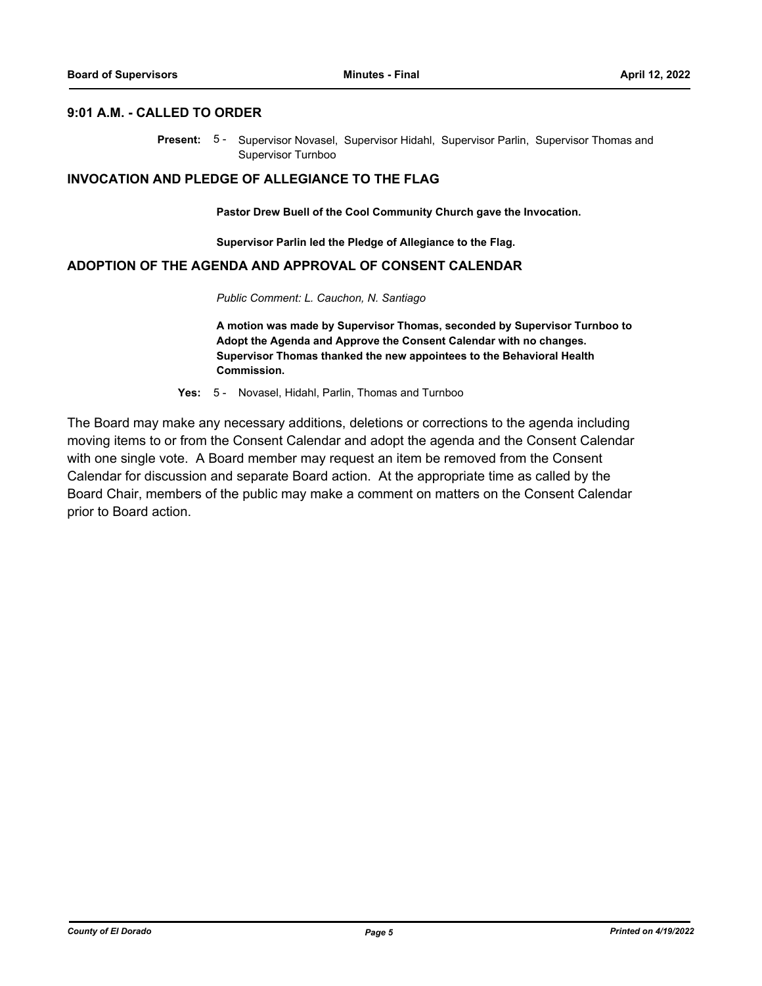#### **9:01 A.M. - CALLED TO ORDER**

Present: 5- Supervisor Novasel, Supervisor Hidahl, Supervisor Parlin, Supervisor Thomas and Supervisor Turnboo

#### **INVOCATION AND PLEDGE OF ALLEGIANCE TO THE FLAG**

**Pastor Drew Buell of the Cool Community Church gave the Invocation.**

**Supervisor Parlin led the Pledge of Allegiance to the Flag.**

## **ADOPTION OF THE AGENDA AND APPROVAL OF CONSENT CALENDAR**

*Public Comment: L. Cauchon, N. Santiago*

**A motion was made by Supervisor Thomas, seconded by Supervisor Turnboo to Adopt the Agenda and Approve the Consent Calendar with no changes. Supervisor Thomas thanked the new appointees to the Behavioral Health Commission.**

**Yes:** 5 - Novasel, Hidahl, Parlin, Thomas and Turnboo

The Board may make any necessary additions, deletions or corrections to the agenda including moving items to or from the Consent Calendar and adopt the agenda and the Consent Calendar with one single vote. A Board member may request an item be removed from the Consent Calendar for discussion and separate Board action. At the appropriate time as called by the Board Chair, members of the public may make a comment on matters on the Consent Calendar prior to Board action.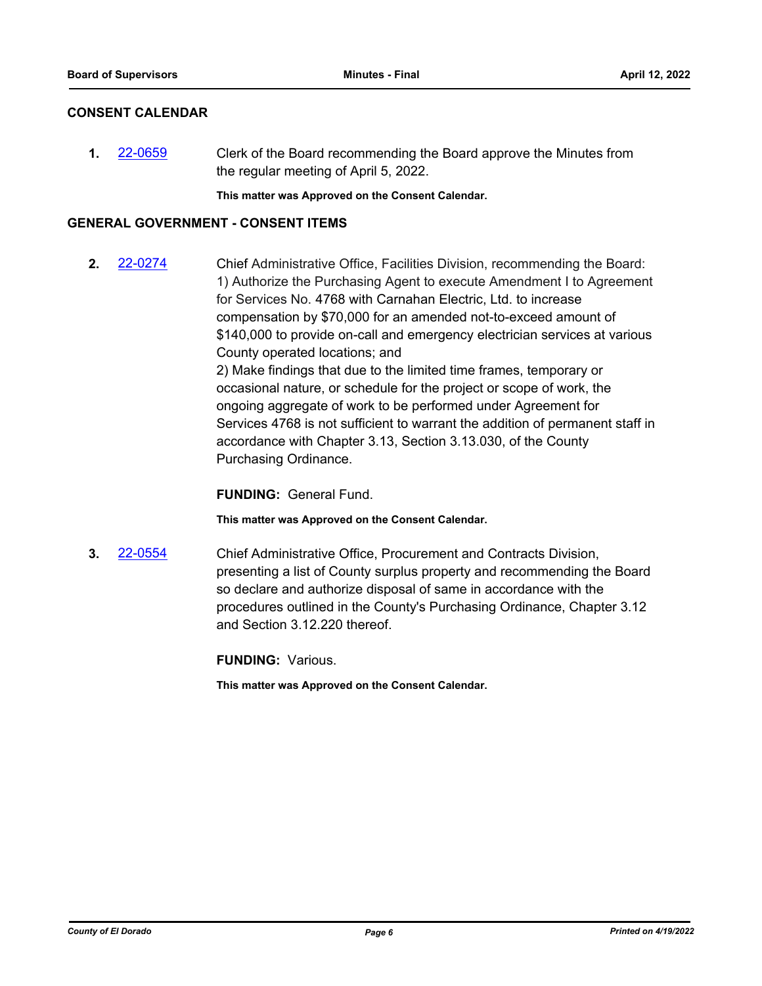## **CONSENT CALENDAR**

**1.** [22-0659](http://eldorado.legistar.com/gateway.aspx?m=l&id=/matter.aspx?key=31560) Clerk of the Board recommending the Board approve the Minutes from the regular meeting of April 5, 2022.

**This matter was Approved on the Consent Calendar.**

## **GENERAL GOVERNMENT - CONSENT ITEMS**

**2.** [22-0274](http://eldorado.legistar.com/gateway.aspx?m=l&id=/matter.aspx?key=31175) Chief Administrative Office, Facilities Division, recommending the Board: 1) Authorize the Purchasing Agent to execute Amendment I to Agreement for Services No. 4768 with Carnahan Electric, Ltd. to increase compensation by \$70,000 for an amended not-to-exceed amount of \$140,000 to provide on-call and emergency electrician services at various County operated locations; and 2) Make findings that due to the limited time frames, temporary or occasional nature, or schedule for the project or scope of work, the ongoing aggregate of work to be performed under Agreement for Services 4768 is not sufficient to warrant the addition of permanent staff in accordance with Chapter 3.13, Section 3.13.030, of the County Purchasing Ordinance.

**FUNDING:** General Fund.

**This matter was Approved on the Consent Calendar.**

**3.** [22-0554](http://eldorado.legistar.com/gateway.aspx?m=l&id=/matter.aspx?key=31455) Chief Administrative Office, Procurement and Contracts Division, presenting a list of County surplus property and recommending the Board so declare and authorize disposal of same in accordance with the procedures outlined in the County's Purchasing Ordinance, Chapter 3.12 and Section 3.12.220 thereof.

**FUNDING:** Various.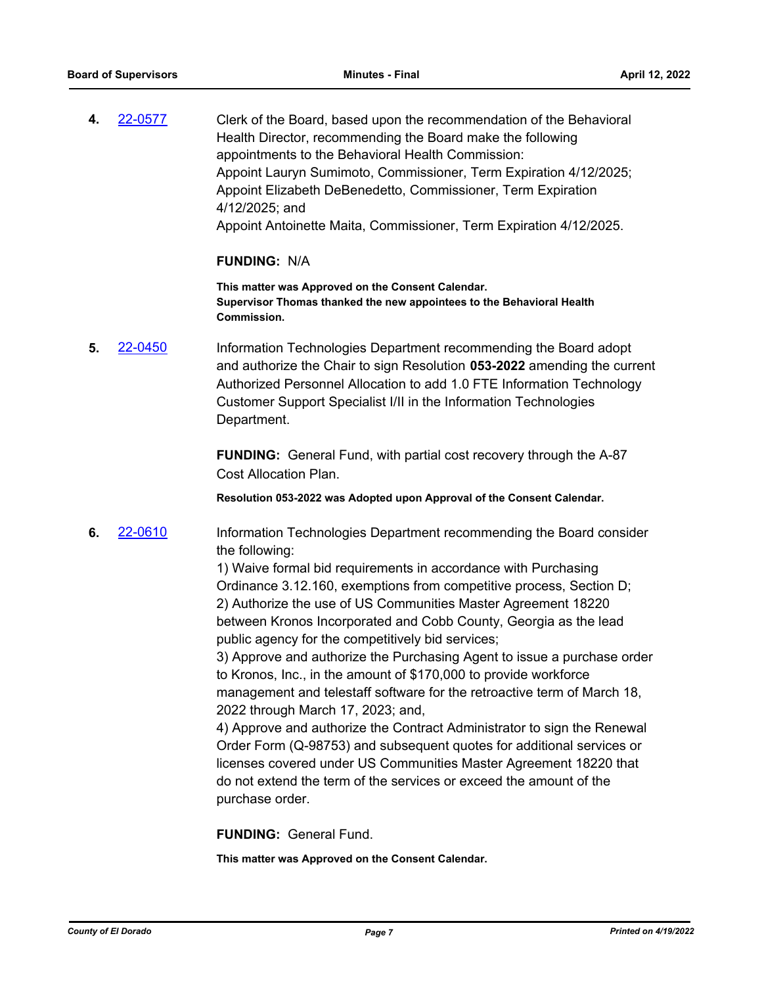**4.** [22-0577](http://eldorado.legistar.com/gateway.aspx?m=l&id=/matter.aspx?key=31478) Clerk of the Board, based upon the recommendation of the Behavioral Health Director, recommending the Board make the following appointments to the Behavioral Health Commission: Appoint Lauryn Sumimoto, Commissioner, Term Expiration 4/12/2025; Appoint Elizabeth DeBenedetto, Commissioner, Term Expiration 4/12/2025; and Appoint Antoinette Maita, Commissioner, Term Expiration 4/12/2025.

## **FUNDING:** N/A

**This matter was Approved on the Consent Calendar. Supervisor Thomas thanked the new appointees to the Behavioral Health Commission.**

**5.** [22-0450](http://eldorado.legistar.com/gateway.aspx?m=l&id=/matter.aspx?key=31351) Information Technologies Department recommending the Board adopt and authorize the Chair to sign Resolution **053-2022** amending the current Authorized Personnel Allocation to add 1.0 FTE Information Technology Customer Support Specialist I/II in the Information Technologies Department.

> **FUNDING:** General Fund, with partial cost recovery through the A-87 Cost Allocation Plan.

**Resolution 053-2022 was Adopted upon Approval of the Consent Calendar.**

**6.** [22-0610](http://eldorado.legistar.com/gateway.aspx?m=l&id=/matter.aspx?key=31511) Information Technologies Department recommending the Board consider the following:

> 1) Waive formal bid requirements in accordance with Purchasing Ordinance 3.12.160, exemptions from competitive process, Section D; 2) Authorize the use of US Communities Master Agreement 18220 between Kronos Incorporated and Cobb County, Georgia as the lead public agency for the competitively bid services;

3) Approve and authorize the Purchasing Agent to issue a purchase order to Kronos, Inc., in the amount of \$170,000 to provide workforce management and telestaff software for the retroactive term of March 18, 2022 through March 17, 2023; and,

4) Approve and authorize the Contract Administrator to sign the Renewal Order Form (Q-98753) and subsequent quotes for additional services or licenses covered under US Communities Master Agreement 18220 that do not extend the term of the services or exceed the amount of the purchase order.

**FUNDING:** General Fund.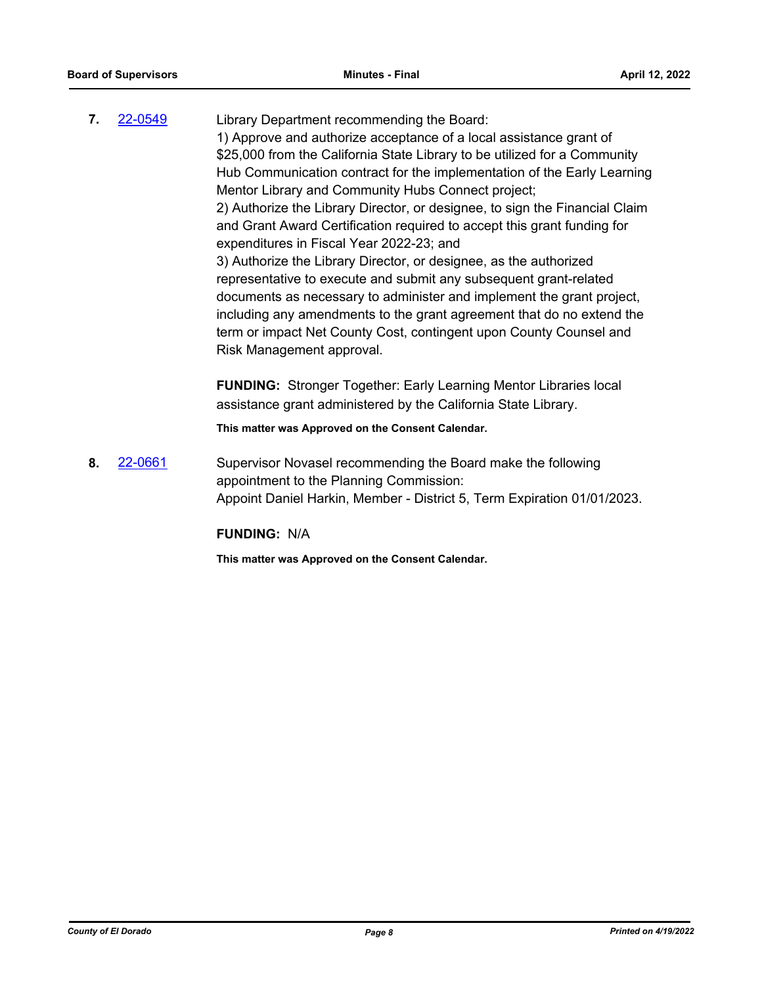**7.** [22-0549](http://eldorado.legistar.com/gateway.aspx?m=l&id=/matter.aspx?key=31450) Library Department recommending the Board: 1) Approve and authorize acceptance of a local assistance grant of \$25,000 from the California State Library to be utilized for a Community Hub Communication contract for the implementation of the Early Learning Mentor Library and Community Hubs Connect project; 2) Authorize the Library Director, or designee, to sign the Financial Claim and Grant Award Certification required to accept this grant funding for expenditures in Fiscal Year 2022-23; and 3) Authorize the Library Director, or designee, as the authorized representative to execute and submit any subsequent grant-related documents as necessary to administer and implement the grant project, including any amendments to the grant agreement that do no extend the term or impact Net County Cost, contingent upon County Counsel and Risk Management approval.

> **FUNDING:** Stronger Together: Early Learning Mentor Libraries local assistance grant administered by the California State Library.

**This matter was Approved on the Consent Calendar.**

**8.** [22-0661](http://eldorado.legistar.com/gateway.aspx?m=l&id=/matter.aspx?key=31562) Supervisor Novasel recommending the Board make the following appointment to the Planning Commission: Appoint Daniel Harkin, Member - District 5, Term Expiration 01/01/2023.

**FUNDING:** N/A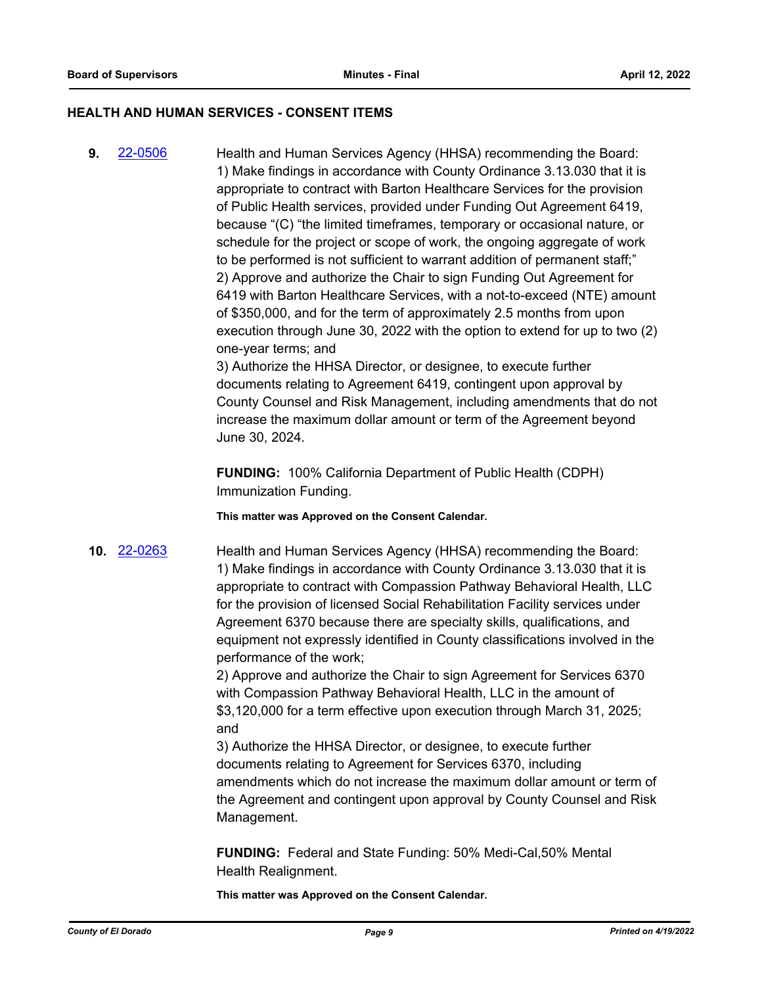## **HEALTH AND HUMAN SERVICES - CONSENT ITEMS**

**9.** [22-0506](http://eldorado.legistar.com/gateway.aspx?m=l&id=/matter.aspx?key=31407) Health and Human Services Agency (HHSA) recommending the Board: 1) Make findings in accordance with County Ordinance 3.13.030 that it is appropriate to contract with Barton Healthcare Services for the provision of Public Health services, provided under Funding Out Agreement 6419, because "(C) "the limited timeframes, temporary or occasional nature, or schedule for the project or scope of work, the ongoing aggregate of work to be performed is not sufficient to warrant addition of permanent staff;" 2) Approve and authorize the Chair to sign Funding Out Agreement for 6419 with Barton Healthcare Services, with a not-to-exceed (NTE) amount of \$350,000, and for the term of approximately 2.5 months from upon execution through June 30, 2022 with the option to extend for up to two (2) one-year terms; and

> 3) Authorize the HHSA Director, or designee, to execute further documents relating to Agreement 6419, contingent upon approval by County Counsel and Risk Management, including amendments that do not increase the maximum dollar amount or term of the Agreement beyond June 30, 2024.

**FUNDING:** 100% California Department of Public Health (CDPH) Immunization Funding.

**This matter was Approved on the Consent Calendar.**

**10.** [22-0263](http://eldorado.legistar.com/gateway.aspx?m=l&id=/matter.aspx?key=31164) Health and Human Services Agency (HHSA) recommending the Board: 1) Make findings in accordance with County Ordinance 3.13.030 that it is appropriate to contract with Compassion Pathway Behavioral Health, LLC for the provision of licensed Social Rehabilitation Facility services under Agreement 6370 because there are specialty skills, qualifications, and equipment not expressly identified in County classifications involved in the performance of the work;

> 2) Approve and authorize the Chair to sign Agreement for Services 6370 with Compassion Pathway Behavioral Health, LLC in the amount of \$3,120,000 for a term effective upon execution through March 31, 2025; and

3) Authorize the HHSA Director, or designee, to execute further documents relating to Agreement for Services 6370, including amendments which do not increase the maximum dollar amount or term of the Agreement and contingent upon approval by County Counsel and Risk Management.

**FUNDING:** Federal and State Funding: 50% Medi-Cal,50% Mental Health Realignment.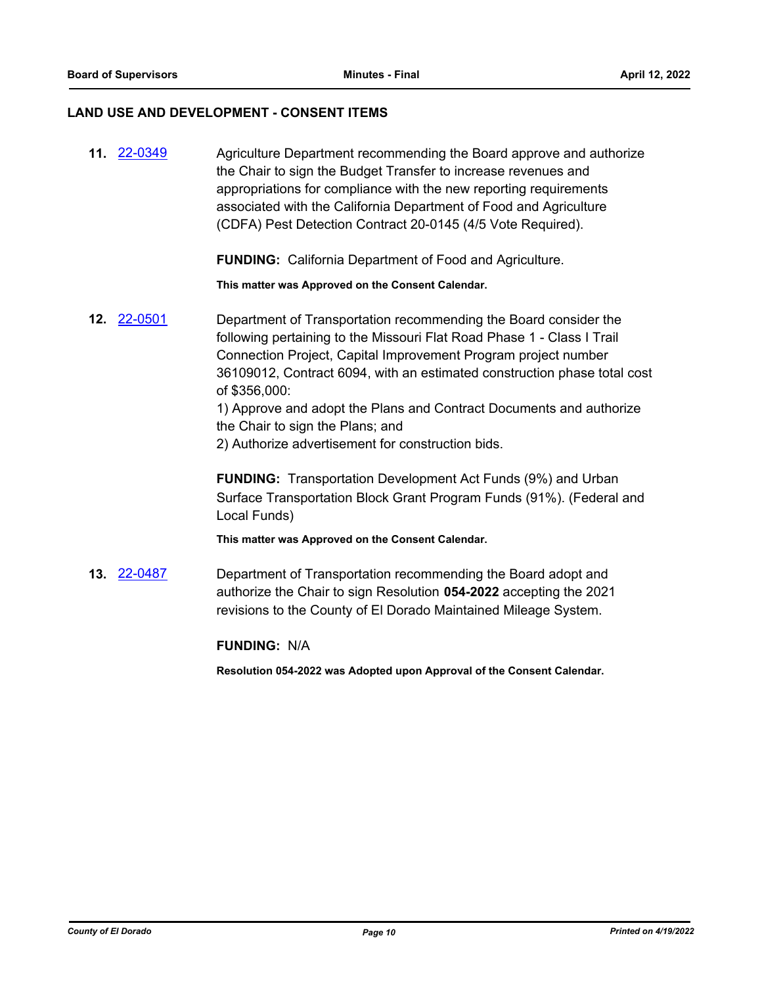## **LAND USE AND DEVELOPMENT - CONSENT ITEMS**

| 11. 22-0349        | Agriculture Department recommending the Board approve and authorize<br>the Chair to sign the Budget Transfer to increase revenues and<br>appropriations for compliance with the new reporting requirements<br>associated with the California Department of Food and Agriculture<br>(CDFA) Pest Detection Contract 20-0145 (4/5 Vote Required).                                                                                                                            |
|--------------------|---------------------------------------------------------------------------------------------------------------------------------------------------------------------------------------------------------------------------------------------------------------------------------------------------------------------------------------------------------------------------------------------------------------------------------------------------------------------------|
|                    | <b>FUNDING:</b> California Department of Food and Agriculture.                                                                                                                                                                                                                                                                                                                                                                                                            |
|                    | This matter was Approved on the Consent Calendar.                                                                                                                                                                                                                                                                                                                                                                                                                         |
| 12. 22-0501        | Department of Transportation recommending the Board consider the<br>following pertaining to the Missouri Flat Road Phase 1 - Class I Trail<br>Connection Project, Capital Improvement Program project number<br>36109012, Contract 6094, with an estimated construction phase total cost<br>of \$356,000:<br>1) Approve and adopt the Plans and Contract Documents and authorize<br>the Chair to sign the Plans; and<br>2) Authorize advertisement for construction bids. |
|                    | <b>FUNDING:</b> Transportation Development Act Funds (9%) and Urban<br>Surface Transportation Block Grant Program Funds (91%). (Federal and<br>Local Funds)                                                                                                                                                                                                                                                                                                               |
|                    | This matter was Approved on the Consent Calendar.                                                                                                                                                                                                                                                                                                                                                                                                                         |
| <b>13. 22-0487</b> | Department of Transportation recommending the Board adopt and<br>authorize the Chair to sign Resolution 054-2022 accepting the 2021<br>revisions to the County of El Dorado Maintained Mileage System.                                                                                                                                                                                                                                                                    |

**FUNDING:** N/A

**Resolution 054-2022 was Adopted upon Approval of the Consent Calendar.**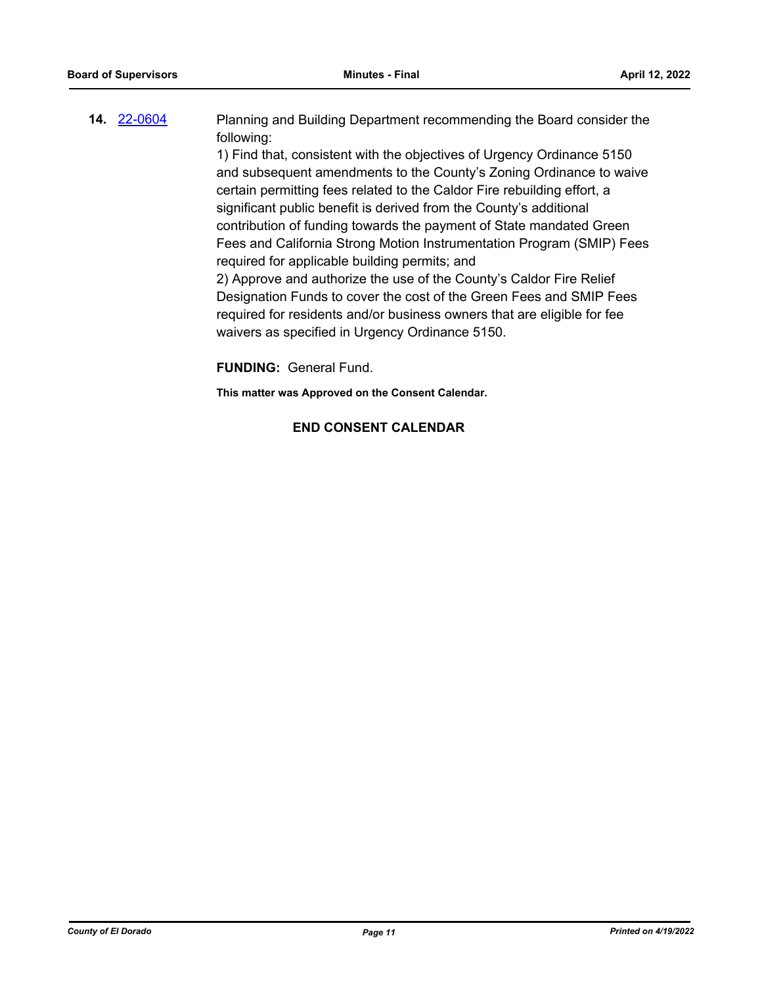| <b>14. 22-0604</b> | Planning and Building Department recommending the Board consider the  |
|--------------------|-----------------------------------------------------------------------|
|                    | following:                                                            |
|                    | 1) Eind that consistent with the chiestives of Urganov Ordinance 5150 |

1) Find that, consistent with the objectives of Urgency Ordinance 5150 and subsequent amendments to the County's Zoning Ordinance to waive certain permitting fees related to the Caldor Fire rebuilding effort, a significant public benefit is derived from the County's additional contribution of funding towards the payment of State mandated Green Fees and California Strong Motion Instrumentation Program (SMIP) Fees required for applicable building permits; and

2) Approve and authorize the use of the County's Caldor Fire Relief Designation Funds to cover the cost of the Green Fees and SMIP Fees required for residents and/or business owners that are eligible for fee waivers as specified in Urgency Ordinance 5150.

**FUNDING:** General Fund.

**This matter was Approved on the Consent Calendar.**

## **END CONSENT CALENDAR**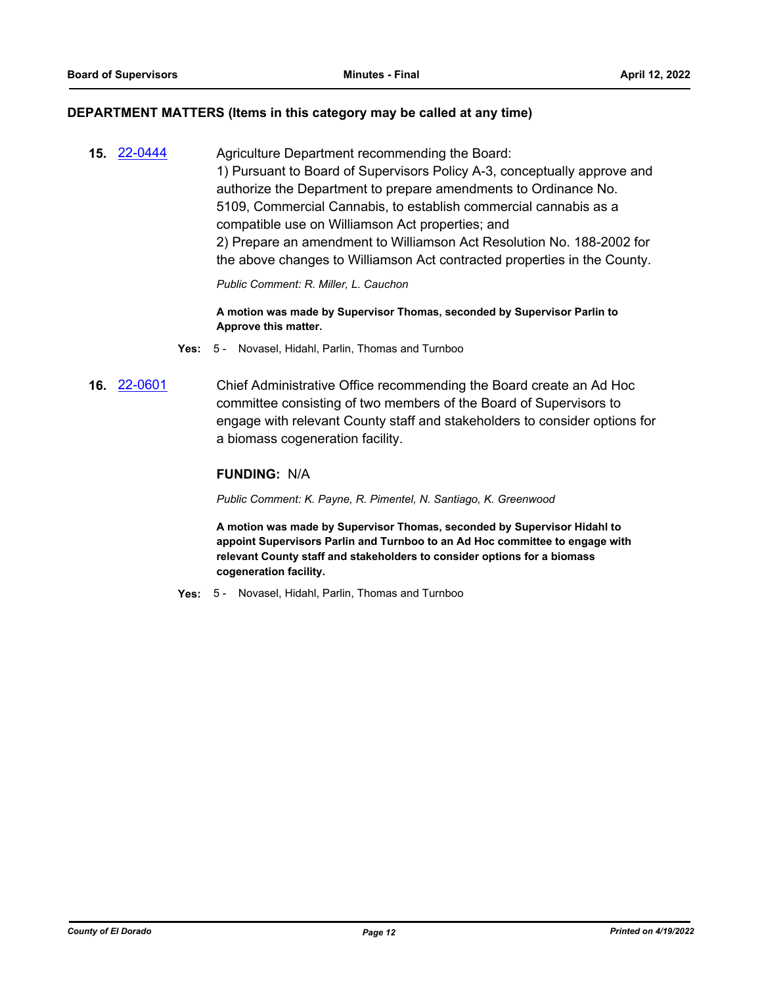#### **DEPARTMENT MATTERS (Items in this category may be called at any time)**

**15.** [22-0444](http://eldorado.legistar.com/gateway.aspx?m=l&id=/matter.aspx?key=31345) Agriculture Department recommending the Board: 1) Pursuant to Board of Supervisors Policy A-3, conceptually approve and authorize the Department to prepare amendments to Ordinance No. 5109, Commercial Cannabis, to establish commercial cannabis as a compatible use on Williamson Act properties; and 2) Prepare an amendment to Williamson Act Resolution No. 188-2002 for the above changes to Williamson Act contracted properties in the County.

*Public Comment: R. Miller, L. Cauchon*

**A motion was made by Supervisor Thomas, seconded by Supervisor Parlin to Approve this matter.**

- **Yes:** 5 Novasel, Hidahl, Parlin, Thomas and Turnboo
- **16.** [22-0601](http://eldorado.legistar.com/gateway.aspx?m=l&id=/matter.aspx?key=31502) Chief Administrative Office recommending the Board create an Ad Hoc committee consisting of two members of the Board of Supervisors to engage with relevant County staff and stakeholders to consider options for a biomass cogeneration facility.

## **FUNDING:** N/A

*Public Comment: K. Payne, R. Pimentel, N. Santiago, K. Greenwood*

**A motion was made by Supervisor Thomas, seconded by Supervisor Hidahl to appoint Supervisors Parlin and Turnboo to an Ad Hoc committee to engage with relevant County staff and stakeholders to consider options for a biomass cogeneration facility.**

**Yes:** 5 - Novasel, Hidahl, Parlin, Thomas and Turnboo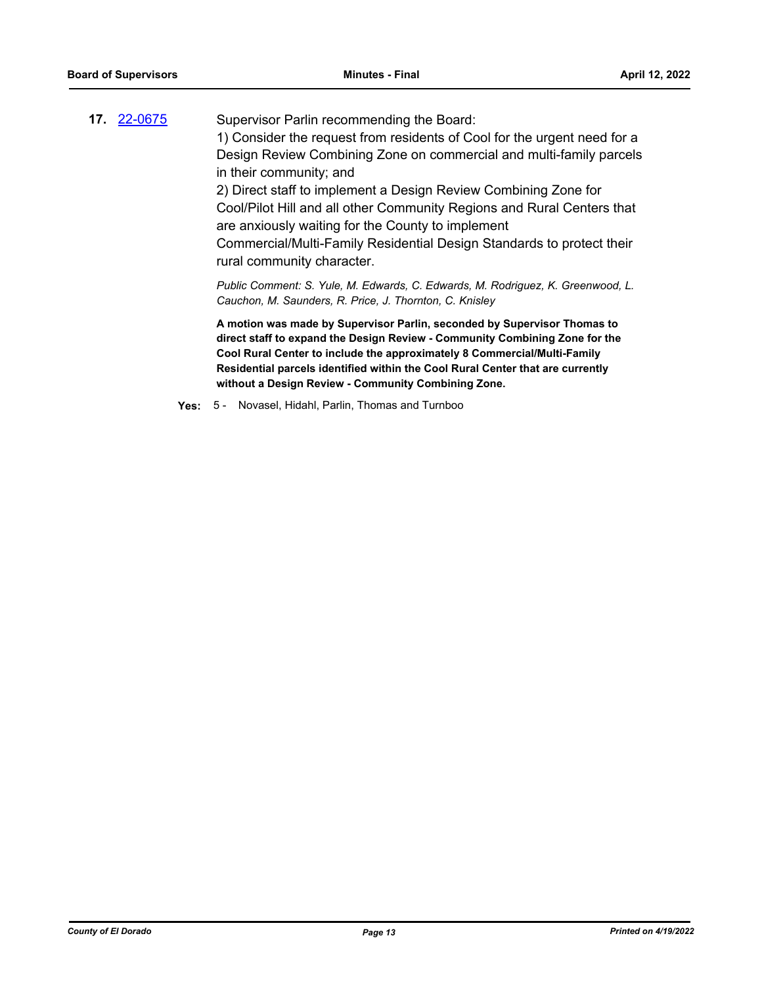| 17. 22-0675 | Supervisor Parlin recommending the Board:                                                                                                                                                                                                                                                                             |
|-------------|-----------------------------------------------------------------------------------------------------------------------------------------------------------------------------------------------------------------------------------------------------------------------------------------------------------------------|
|             | 1) Consider the request from residents of Cool for the urgent need for a                                                                                                                                                                                                                                              |
|             | Design Review Combining Zone on commercial and multi-family parcels<br>in their community; and                                                                                                                                                                                                                        |
|             | 2) Direct staff to implement a Design Review Combining Zone for                                                                                                                                                                                                                                                       |
|             | Cool/Pilot Hill and all other Community Regions and Rural Centers that<br>are anxiously waiting for the County to implement                                                                                                                                                                                           |
|             | Commercial/Multi-Family Residential Design Standards to protect their<br>rural community character.                                                                                                                                                                                                                   |
|             | Public Comment: S. Yule, M. Edwards, C. Edwards, M. Rodriguez, K. Greenwood, L.<br>Cauchon, M. Saunders, R. Price, J. Thornton, C. Knisley                                                                                                                                                                            |
|             | A motion was made by Supervisor Parlin, seconded by Supervisor Thomas to<br>direct staff to expand the Design Review - Community Combining Zone for the<br>Cool Rural Center to include the approximately 8 Commercial/Multi-Family<br>Residential parcels identified within the Cool Rural Center that are currently |

**without a Design Review - Community Combining Zone.**

**Yes:** 5 - Novasel, Hidahl, Parlin, Thomas and Turnboo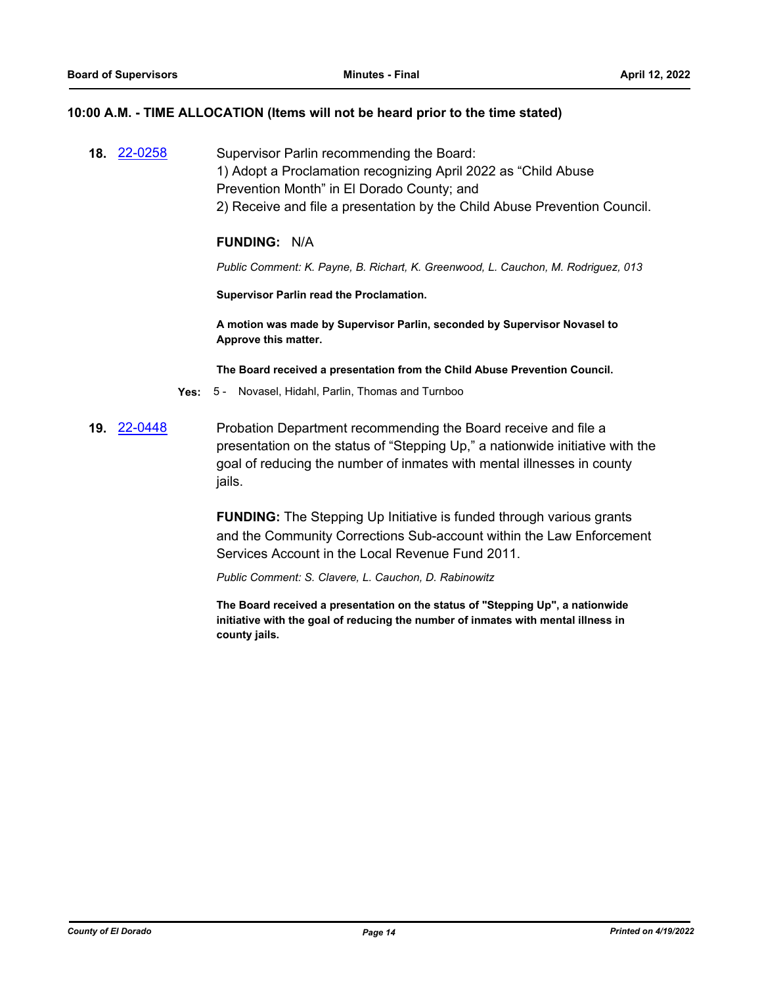#### **10:00 A.M. - TIME ALLOCATION (Items will not be heard prior to the time stated)**

**18.** [22-0258](http://eldorado.legistar.com/gateway.aspx?m=l&id=/matter.aspx?key=31159) Supervisor Parlin recommending the Board: 1) Adopt a Proclamation recognizing April 2022 as "Child Abuse Prevention Month" in El Dorado County; and 2) Receive and file a presentation by the Child Abuse Prevention Council.

#### **FUNDING:** N/A

*Public Comment: K. Payne, B. Richart, K. Greenwood, L. Cauchon, M. Rodriguez, 013*

**Supervisor Parlin read the Proclamation.**

**A motion was made by Supervisor Parlin, seconded by Supervisor Novasel to Approve this matter.**

**The Board received a presentation from the Child Abuse Prevention Council.**

- **Yes:** 5 Novasel, Hidahl, Parlin, Thomas and Turnboo
- **19.** [22-0448](http://eldorado.legistar.com/gateway.aspx?m=l&id=/matter.aspx?key=31349) Probation Department recommending the Board receive and file a presentation on the status of "Stepping Up," a nationwide initiative with the goal of reducing the number of inmates with mental illnesses in county jails.

**FUNDING:** The Stepping Up Initiative is funded through various grants and the Community Corrections Sub-account within the Law Enforcement Services Account in the Local Revenue Fund 2011.

*Public Comment: S. Clavere, L. Cauchon, D. Rabinowitz*

**The Board received a presentation on the status of "Stepping Up", a nationwide initiative with the goal of reducing the number of inmates with mental illness in county jails.**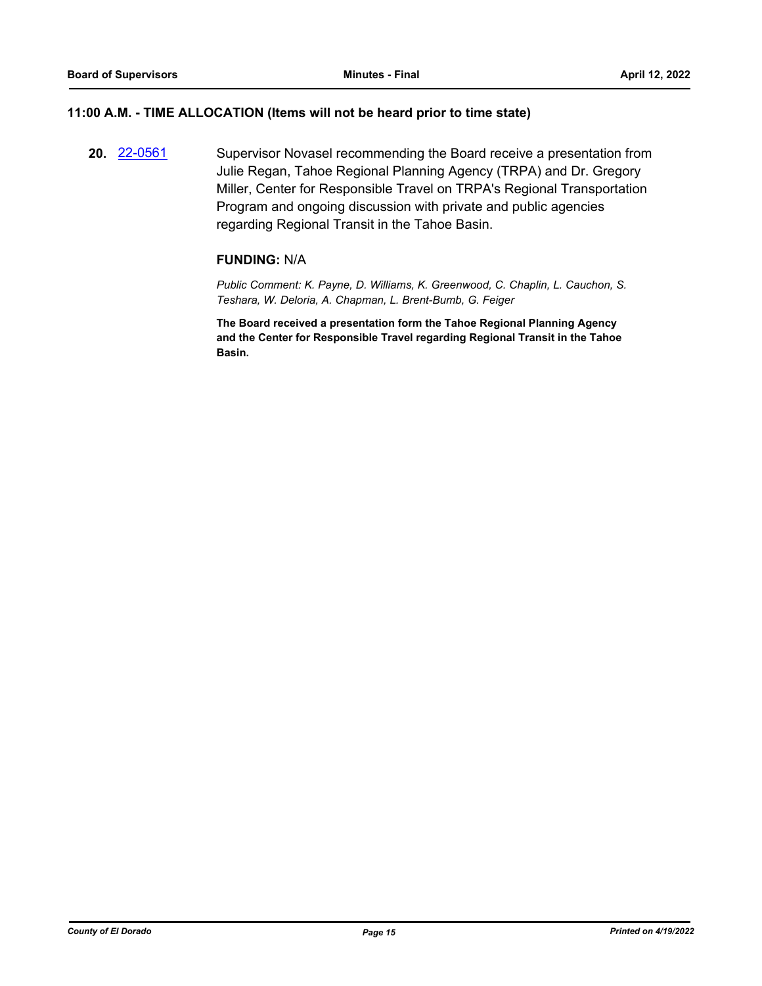## **11:00 A.M. - TIME ALLOCATION (Items will not be heard prior to time state)**

**20.** [22-0561](http://eldorado.legistar.com/gateway.aspx?m=l&id=/matter.aspx?key=31462) Supervisor Novasel recommending the Board receive a presentation from Julie Regan, Tahoe Regional Planning Agency (TRPA) and Dr. Gregory Miller, Center for Responsible Travel on TRPA's Regional Transportation Program and ongoing discussion with private and public agencies regarding Regional Transit in the Tahoe Basin.

## **FUNDING:** N/A

*Public Comment: K. Payne, D. Williams, K. Greenwood, C. Chaplin, L. Cauchon, S. Teshara, W. Deloria, A. Chapman, L. Brent-Bumb, G. Feiger*

**The Board received a presentation form the Tahoe Regional Planning Agency and the Center for Responsible Travel regarding Regional Transit in the Tahoe Basin.**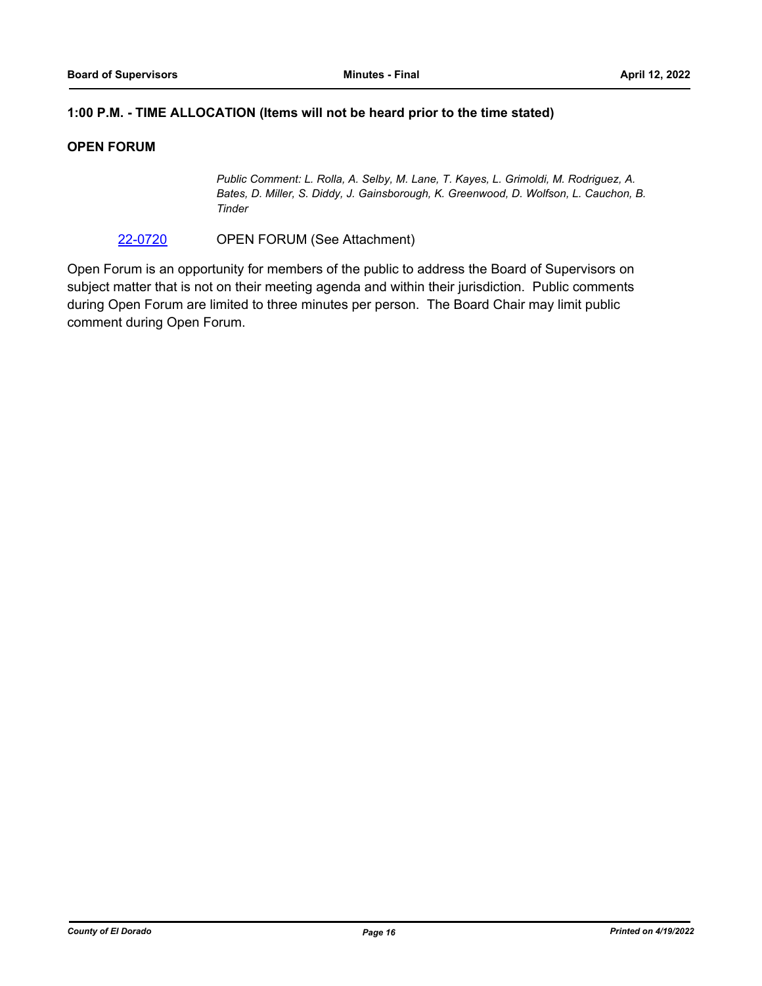## **1:00 P.M. - TIME ALLOCATION (Items will not be heard prior to the time stated)**

## **OPEN FORUM**

*Public Comment: L. Rolla, A. Selby, M. Lane, T. Kayes, L. Grimoldi, M. Rodriguez, A. Bates, D. Miller, S. Diddy, J. Gainsborough, K. Greenwood, D. Wolfson, L. Cauchon, B. Tinder*

[22-0720](http://eldorado.legistar.com/gateway.aspx?m=l&id=/matter.aspx?key=31621) OPEN FORUM (See Attachment)

Open Forum is an opportunity for members of the public to address the Board of Supervisors on subject matter that is not on their meeting agenda and within their jurisdiction. Public comments during Open Forum are limited to three minutes per person. The Board Chair may limit public comment during Open Forum.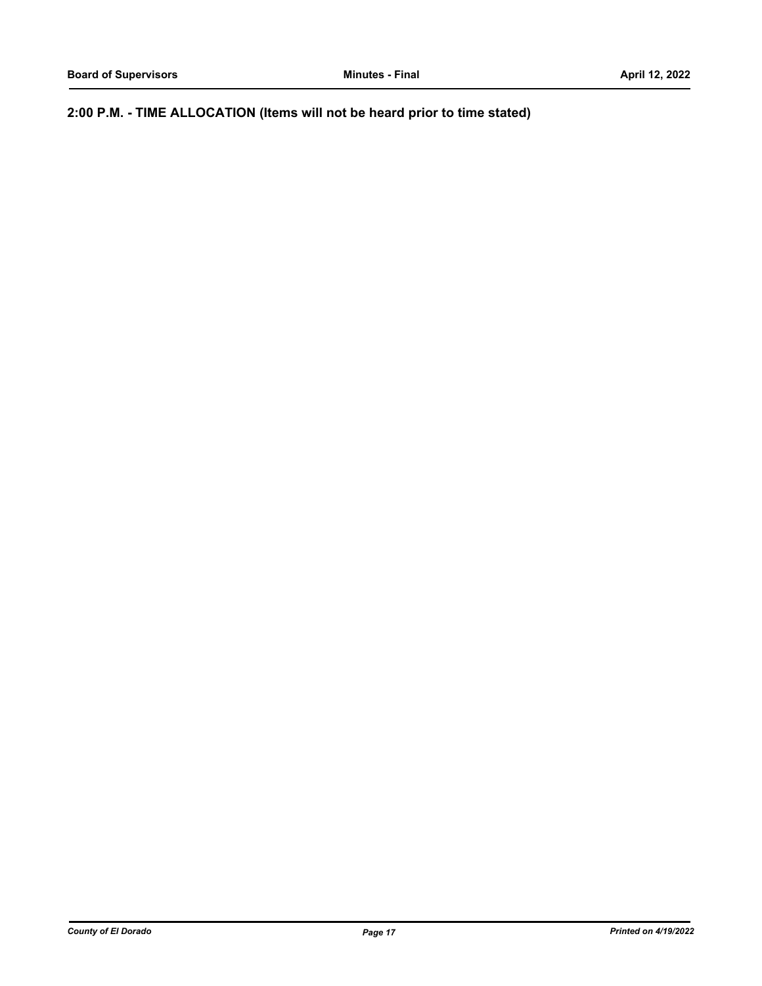**2:00 P.M. - TIME ALLOCATION (Items will not be heard prior to time stated)**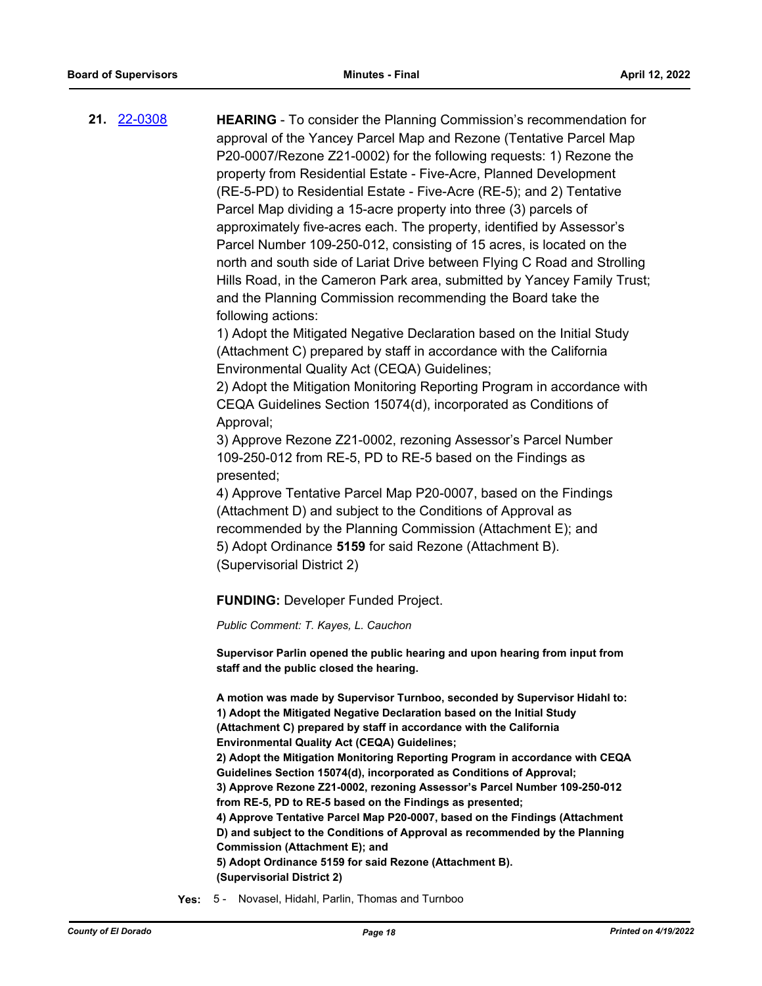**21.** [22-0308](http://eldorado.legistar.com/gateway.aspx?m=l&id=/matter.aspx?key=31209) **HEARING** - To consider the Planning Commission's recommendation for approval of the Yancey Parcel Map and Rezone (Tentative Parcel Map P20-0007/Rezone Z21-0002) for the following requests: 1) Rezone the property from Residential Estate - Five-Acre, Planned Development (RE-5-PD) to Residential Estate - Five-Acre (RE-5); and 2) Tentative Parcel Map dividing a 15-acre property into three (3) parcels of approximately five-acres each. The property, identified by Assessor's Parcel Number 109-250-012, consisting of 15 acres, is located on the north and south side of Lariat Drive between Flying C Road and Strolling Hills Road, in the Cameron Park area, submitted by Yancey Family Trust; and the Planning Commission recommending the Board take the following actions:

> 1) Adopt the Mitigated Negative Declaration based on the Initial Study (Attachment C) prepared by staff in accordance with the California Environmental Quality Act (CEQA) Guidelines;

2) Adopt the Mitigation Monitoring Reporting Program in accordance with CEQA Guidelines Section 15074(d), incorporated as Conditions of Approval;

3) Approve Rezone Z21-0002, rezoning Assessor's Parcel Number 109-250-012 from RE-5, PD to RE-5 based on the Findings as presented;

4) Approve Tentative Parcel Map P20-0007, based on the Findings (Attachment D) and subject to the Conditions of Approval as recommended by the Planning Commission (Attachment E); and 5) Adopt Ordinance **5159** for said Rezone (Attachment B). (Supervisorial District 2)

#### **FUNDING:** Developer Funded Project.

*Public Comment: T. Kayes, L. Cauchon*

**Supervisor Parlin opened the public hearing and upon hearing from input from staff and the public closed the hearing.**

**A motion was made by Supervisor Turnboo, seconded by Supervisor Hidahl to: 1) Adopt the Mitigated Negative Declaration based on the Initial Study (Attachment C) prepared by staff in accordance with the California Environmental Quality Act (CEQA) Guidelines; 2) Adopt the Mitigation Monitoring Reporting Program in accordance with CEQA Guidelines Section 15074(d), incorporated as Conditions of Approval; 3) Approve Rezone Z21-0002, rezoning Assessor's Parcel Number 109-250-012 from RE-5, PD to RE-5 based on the Findings as presented; 4) Approve Tentative Parcel Map P20-0007, based on the Findings (Attachment D) and subject to the Conditions of Approval as recommended by the Planning Commission (Attachment E); and 5) Adopt Ordinance 5159 for said Rezone (Attachment B). (Supervisorial District 2)**

**Yes:** 5 - Novasel, Hidahl, Parlin, Thomas and Turnboo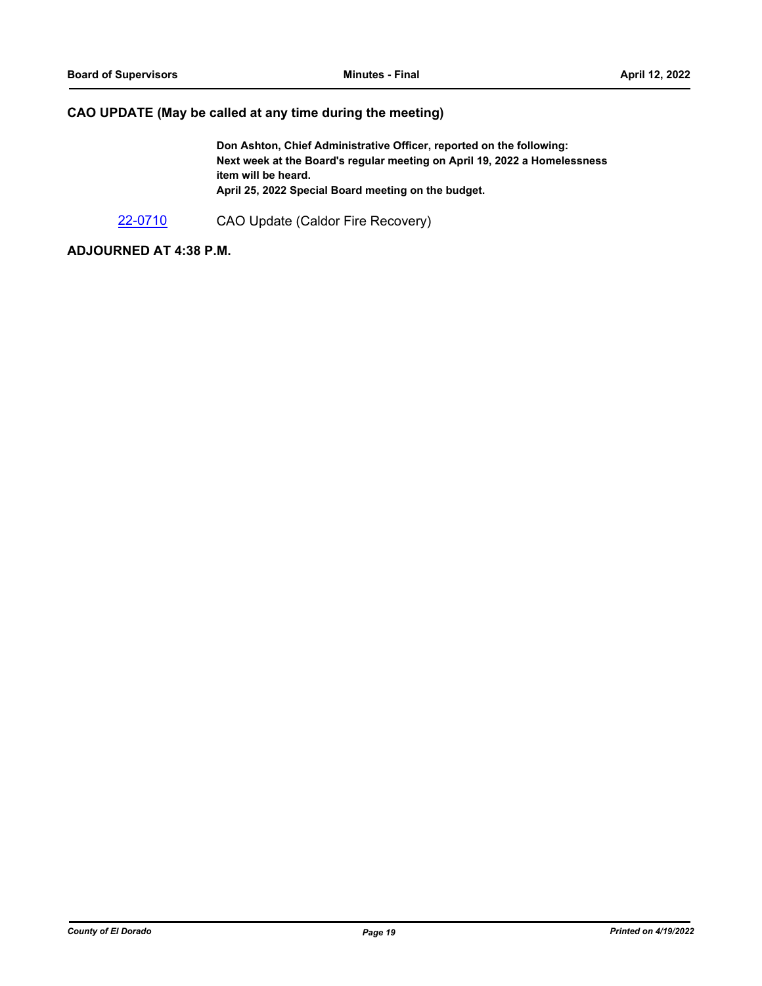## **CAO UPDATE (May be called at any time during the meeting)**

**Don Ashton, Chief Administrative Officer, reported on the following: Next week at the Board's regular meeting on April 19, 2022 a Homelessness item will be heard. April 25, 2022 Special Board meeting on the budget.**

[22-0710](http://eldorado.legistar.com/gateway.aspx?m=l&id=/matter.aspx?key=31611) CAO Update (Caldor Fire Recovery)

## **ADJOURNED AT 4:38 P.M.**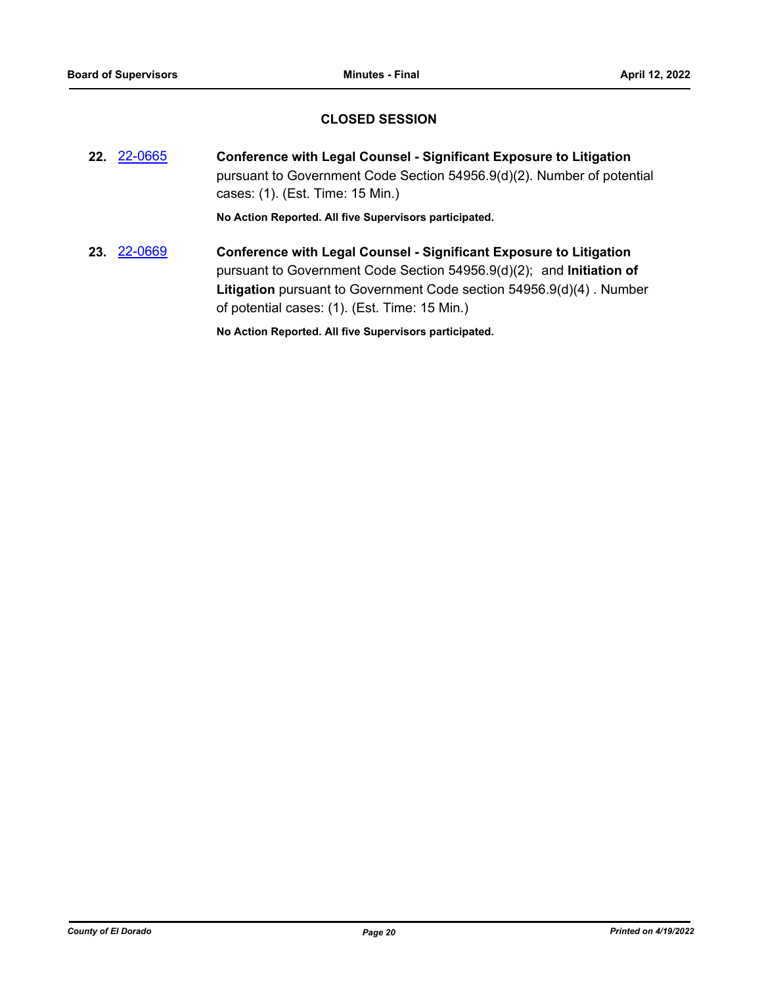## **CLOSED SESSION**

**22.** [22-0665](http://eldorado.legistar.com/gateway.aspx?m=l&id=/matter.aspx?key=31566) **Conference with Legal Counsel - Significant Exposure to Litigation** pursuant to Government Code Section 54956.9(d)(2). Number of potential cases: (1). (Est. Time: 15 Min.)

**No Action Reported. All five Supervisors participated.**

**23.** [22-0669](http://eldorado.legistar.com/gateway.aspx?m=l&id=/matter.aspx?key=31570) **Conference with Legal Counsel - Significant Exposure to Litigation** pursuant to Government Code Section 54956.9(d)(2); and **Initiation of Litigation** pursuant to Government Code section 54956.9(d)(4) . Number of potential cases: (1). (Est. Time: 15 Min.)

**No Action Reported. All five Supervisors participated.**